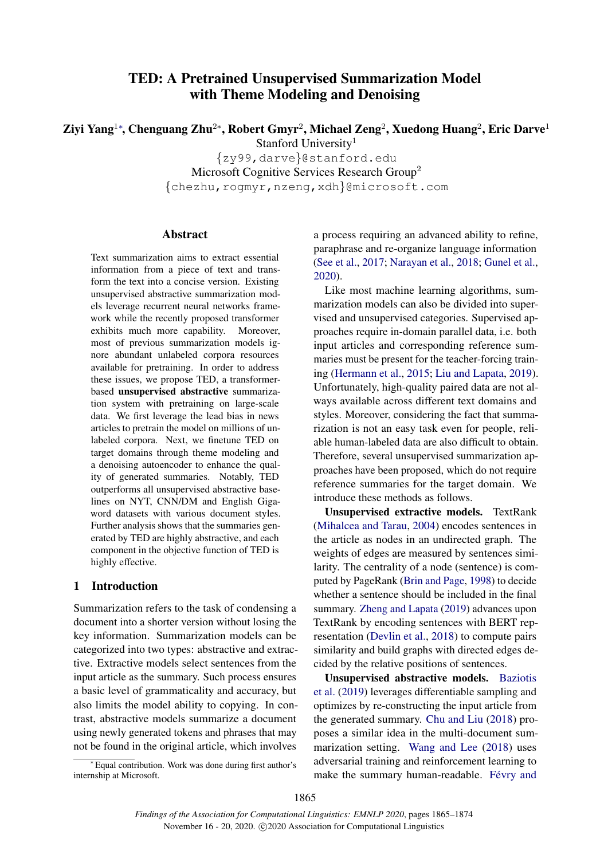# TED: A Pretrained Unsupervised Summarization Model with Theme Modeling and Denoising

Ziyi Yang $^{1*}$ , Chenguang Zhu $^{2*}$ , Robert Gmyr $^2$ , Michael Zeng $^2$ , Xuedong Huang $^2$ , Eric Darve $^1$ 

Stanford University<sup>1</sup>

*{*zy99,darve*}*@stanford.edu Microsoft Cognitive Services Research Group<sup>2</sup> *{*chezhu,rogmyr,nzeng,xdh*}*@microsoft.com

## Abstract

Text summarization aims to extract essential information from a piece of text and transform the text into a concise version. Existing unsupervised abstractive summarization models leverage recurrent neural networks framework while the recently proposed transformer exhibits much more capability. Moreover, most of previous summarization models ignore abundant unlabeled corpora resources available for pretraining. In order to address these issues, we propose TED, a transformerbased unsupervised abstractive summarization system with pretraining on large-scale data. We first leverage the lead bias in news articles to pretrain the model on millions of unlabeled corpora. Next, we finetune TED on target domains through theme modeling and a denoising autoencoder to enhance the quality of generated summaries. Notably, TED outperforms all unsupervised abstractive baselines on NYT, CNN/DM and English Gigaword datasets with various document styles. Further analysis shows that the summaries generated by TED are highly abstractive, and each component in the objective function of TED is highly effective.

## 1 Introduction

Summarization refers to the task of condensing a document into a shorter version without losing the key information. Summarization models can be categorized into two types: abstractive and extractive. Extractive models select sentences from the input article as the summary. Such process ensures a basic level of grammaticality and accuracy, but also limits the model ability to copying. In contrast, abstractive models summarize a document using newly generated tokens and phrases that may not be found in the original article, which involves

⇤ Equal contribution. Work was done during first author's internship at Microsoft.

a process requiring an advanced ability to refine, paraphrase and re-organize language information [\(See et al.,](#page-8-0) [2017;](#page-8-0) [Narayan et al.,](#page-8-1) [2018;](#page-8-1) [Gunel et al.,](#page-8-2) [2020\)](#page-8-2).

Like most machine learning algorithms, summarization models can also be divided into supervised and unsupervised categories. Supervised approaches require in-domain parallel data, i.e. both input articles and corresponding reference summaries must be present for the teacher-forcing training [\(Hermann et al.,](#page-8-3) [2015;](#page-8-3) [Liu and Lapata,](#page-8-4) [2019\)](#page-8-4). Unfortunately, high-quality paired data are not always available across different text domains and styles. Moreover, considering the fact that summarization is not an easy task even for people, reliable human-labeled data are also difficult to obtain. Therefore, several unsupervised summarization approaches have been proposed, which do not require reference summaries for the target domain. We introduce these methods as follows.

Unsupervised extractive models. TextRank [\(Mihalcea and Tarau,](#page-8-5) [2004\)](#page-8-5) encodes sentences in the article as nodes in an undirected graph. The weights of edges are measured by sentences similarity. The centrality of a node (sentence) is computed by PageRank [\(Brin and Page,](#page-8-6) [1998\)](#page-8-6) to decide whether a sentence should be included in the final summary. [Zheng and Lapata](#page-9-0) [\(2019\)](#page-9-0) advances upon TextRank by encoding sentences with BERT representation [\(Devlin et al.,](#page-8-7) [2018\)](#page-8-7) to compute pairs similarity and build graphs with directed edges decided by the relative positions of sentences.

Unsupervised abstractive models. [Baziotis](#page-8-8) [et al.](#page-8-8) [\(2019\)](#page-8-8) leverages differentiable sampling and optimizes by re-constructing the input article from the generated summary. [Chu and Liu](#page-8-9) [\(2018\)](#page-8-9) proposes a similar idea in the multi-document summarization setting. [Wang and Lee](#page-9-1) [\(2018\)](#page-9-1) uses adversarial training and reinforcement learning to make the summary human-readable. Févry and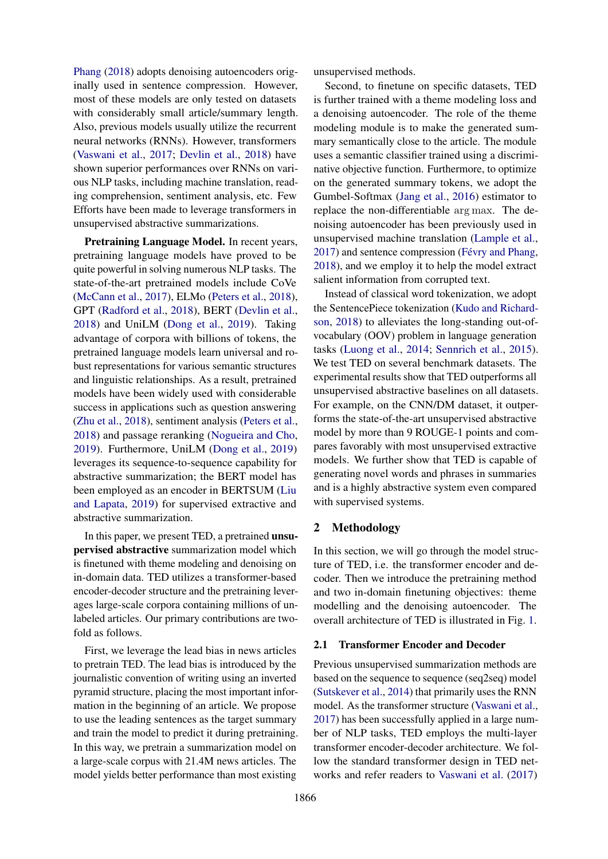[Phang](#page-8-10) [\(2018\)](#page-8-10) adopts denoising autoencoders originally used in sentence compression. However, most of these models are only tested on datasets with considerably small article/summary length. Also, previous models usually utilize the recurrent neural networks (RNNs). However, transformers [\(Vaswani et al.,](#page-9-2) [2017;](#page-9-2) [Devlin et al.,](#page-8-7) [2018\)](#page-8-7) have shown superior performances over RNNs on various NLP tasks, including machine translation, reading comprehension, sentiment analysis, etc. Few Efforts have been made to leverage transformers in unsupervised abstractive summarizations.

Pretraining Language Model. In recent years, pretraining language models have proved to be quite powerful in solving numerous NLP tasks. The state-of-the-art pretrained models include CoVe [\(McCann et al.,](#page-8-11) [2017\)](#page-8-11), ELMo [\(Peters et al.,](#page-8-12) [2018\)](#page-8-12), GPT [\(Radford et al.,](#page-8-13) [2018\)](#page-8-13), BERT [\(Devlin et al.,](#page-8-7) [2018\)](#page-8-7) and UniLM [\(Dong et al.,](#page-8-14) [2019\)](#page-8-14). Taking advantage of corpora with billions of tokens, the pretrained language models learn universal and robust representations for various semantic structures and linguistic relationships. As a result, pretrained models have been widely used with considerable success in applications such as question answering [\(Zhu et al.,](#page-9-3) [2018\)](#page-9-3), sentiment analysis [\(Peters et al.,](#page-8-12) [2018\)](#page-8-12) and passage reranking [\(Nogueira and Cho,](#page-8-15) [2019\)](#page-8-15). Furthermore, UniLM [\(Dong et al.,](#page-8-14) [2019\)](#page-8-14) leverages its sequence-to-sequence capability for abstractive summarization; the BERT model has been employed as an encoder in BERTSUM [\(Liu](#page-8-4) [and Lapata,](#page-8-4) [2019\)](#page-8-4) for supervised extractive and abstractive summarization.

In this paper, we present TED, a pretrained unsupervised abstractive summarization model which is finetuned with theme modeling and denoising on in-domain data. TED utilizes a transformer-based encoder-decoder structure and the pretraining leverages large-scale corpora containing millions of unlabeled articles. Our primary contributions are twofold as follows.

First, we leverage the lead bias in news articles to pretrain TED. The lead bias is introduced by the journalistic convention of writing using an inverted pyramid structure, placing the most important information in the beginning of an article. We propose to use the leading sentences as the target summary and train the model to predict it during pretraining. In this way, we pretrain a summarization model on a large-scale corpus with 21.4M news articles. The model yields better performance than most existing unsupervised methods.

Second, to finetune on specific datasets, TED is further trained with a theme modeling loss and a denoising autoencoder. The role of the theme modeling module is to make the generated summary semantically close to the article. The module uses a semantic classifier trained using a discriminative objective function. Furthermore, to optimize on the generated summary tokens, we adopt the Gumbel-Softmax [\(Jang et al.,](#page-8-16) [2016\)](#page-8-16) estimator to replace the non-differentiable arg max. The denoising autoencoder has been previously used in unsupervised machine translation [\(Lample et al.,](#page-8-17) [2017\)](#page-8-17) and sentence compression (Févry and Phang, [2018\)](#page-8-10), and we employ it to help the model extract salient information from corrupted text.

Instead of classical word tokenization, we adopt the SentencePiece tokenization [\(Kudo and Richard](#page-8-18)[son,](#page-8-18) [2018\)](#page-8-18) to alleviates the long-standing out-ofvocabulary (OOV) problem in language generation tasks [\(Luong et al.,](#page-8-19) [2014;](#page-8-19) [Sennrich et al.,](#page-8-20) [2015\)](#page-8-20). We test TED on several benchmark datasets. The experimental results show that TED outperforms all unsupervised abstractive baselines on all datasets. For example, on the CNN/DM dataset, it outperforms the state-of-the-art unsupervised abstractive model by more than 9 ROUGE-1 points and compares favorably with most unsupervised extractive models. We further show that TED is capable of generating novel words and phrases in summaries and is a highly abstractive system even compared with supervised systems.

#### 2 Methodology

In this section, we will go through the model structure of TED, i.e. the transformer encoder and decoder. Then we introduce the pretraining method and two in-domain finetuning objectives: theme modelling and the denoising autoencoder. The overall architecture of TED is illustrated in Fig. [1.](#page-2-0)

#### 2.1 Transformer Encoder and Decoder

Previous unsupervised summarization methods are based on the sequence to sequence (seq2seq) model [\(Sutskever et al.,](#page-9-4) [2014\)](#page-9-4) that primarily uses the RNN model. As the transformer structure [\(Vaswani et al.,](#page-9-2) [2017\)](#page-9-2) has been successfully applied in a large number of NLP tasks, TED employs the multi-layer transformer encoder-decoder architecture. We follow the standard transformer design in TED networks and refer readers to [Vaswani et al.](#page-9-2) [\(2017\)](#page-9-2)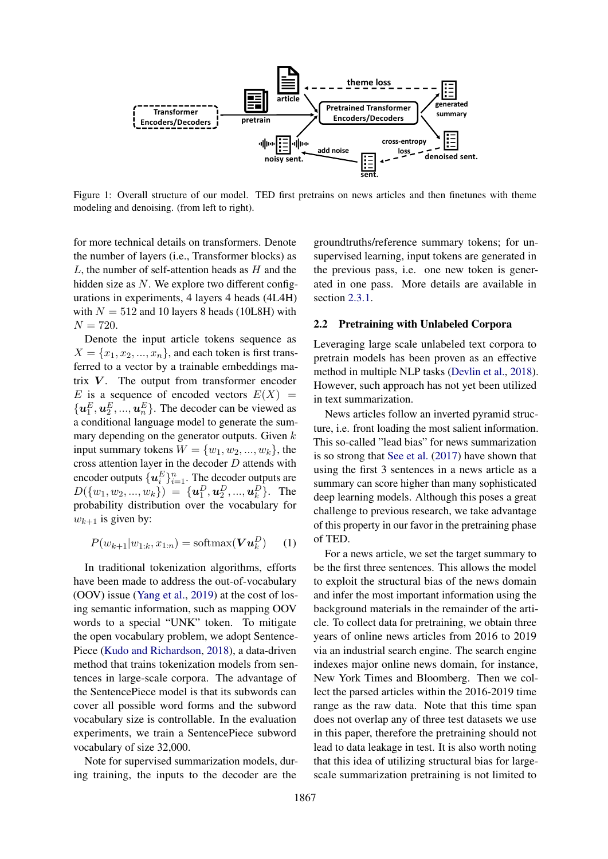<span id="page-2-0"></span>

Figure 1: Overall structure of our model. TED first pretrains on news articles and then finetunes with theme modeling and denoising. (from left to right).

for more technical details on transformers. Denote the number of layers (i.e., Transformer blocks) as *L*, the number of self-attention heads as *H* and the hidden size as *N*. We explore two different configurations in experiments, 4 layers 4 heads (4L4H) with  $N = 512$  and 10 layers 8 heads (10L8H) with  $N = 720.$ 

Denote the input article tokens sequence as  $X = \{x_1, x_2, ..., x_n\}$ , and each token is first transferred to a vector by a trainable embeddings matrix  $V$ . The output from transformer encoder *E* is a sequence of encoded vectors  $E(X)$  =  $\{u_1^E, u_2^E, ..., u_n^E\}$ . The decoder can be viewed as a conditional language model to generate the summary depending on the generator outputs. Given *k* input summary tokens  $W = \{w_1, w_2, ..., w_k\}$ , the cross attention layer in the decoder *D* attends with encoder outputs  $\{u_i^E\}_{i=1}^n$ . The decoder outputs are  $D(\{w_1, w_2, ..., w_k\}) = \{\boldsymbol{u}_1^D, \boldsymbol{u}_2^D, ..., \boldsymbol{u}_k^D\}$ . The probability distribution over the vocabulary for  $w_{k+1}$  is given by:

$$
P(w_{k+1}|w_{1:k}, x_{1:n}) = \text{softmax}(\mathbf{V}\mathbf{u}_k^D) \qquad (1)
$$

In traditional tokenization algorithms, efforts have been made to address the out-of-vocabulary (OOV) issue [\(Yang et al.,](#page-9-5) [2019\)](#page-9-5) at the cost of losing semantic information, such as mapping OOV words to a special "UNK" token. To mitigate the open vocabulary problem, we adopt Sentence-Piece [\(Kudo and Richardson,](#page-8-18) [2018\)](#page-8-18), a data-driven method that trains tokenization models from sentences in large-scale corpora. The advantage of the SentencePiece model is that its subwords can cover all possible word forms and the subword vocabulary size is controllable. In the evaluation experiments, we train a SentencePiece subword vocabulary of size 32,000.

Note for supervised summarization models, during training, the inputs to the decoder are the

groundtruths/reference summary tokens; for unsupervised learning, input tokens are generated in the previous pass, i.e. one new token is generated in one pass. More details are available in section [2.3.1.](#page-3-0)

## 2.2 Pretraining with Unlabeled Corpora

Leveraging large scale unlabeled text corpora to pretrain models has been proven as an effective method in multiple NLP tasks [\(Devlin et al.,](#page-8-7) [2018\)](#page-8-7). However, such approach has not yet been utilized in text summarization.

News articles follow an inverted pyramid structure, i.e. front loading the most salient information. This so-called "lead bias" for news summarization is so strong that [See et al.](#page-8-0) [\(2017\)](#page-8-0) have shown that using the first 3 sentences in a news article as a summary can score higher than many sophisticated deep learning models. Although this poses a great challenge to previous research, we take advantage of this property in our favor in the pretraining phase of TED.

For a news article, we set the target summary to be the first three sentences. This allows the model to exploit the structural bias of the news domain and infer the most important information using the background materials in the remainder of the article. To collect data for pretraining, we obtain three years of online news articles from 2016 to 2019 via an industrial search engine. The search engine indexes major online news domain, for instance, New York Times and Bloomberg. Then we collect the parsed articles within the 2016-2019 time range as the raw data. Note that this time span does not overlap any of three test datasets we use in this paper, therefore the pretraining should not lead to data leakage in test. It is also worth noting that this idea of utilizing structural bias for largescale summarization pretraining is not limited to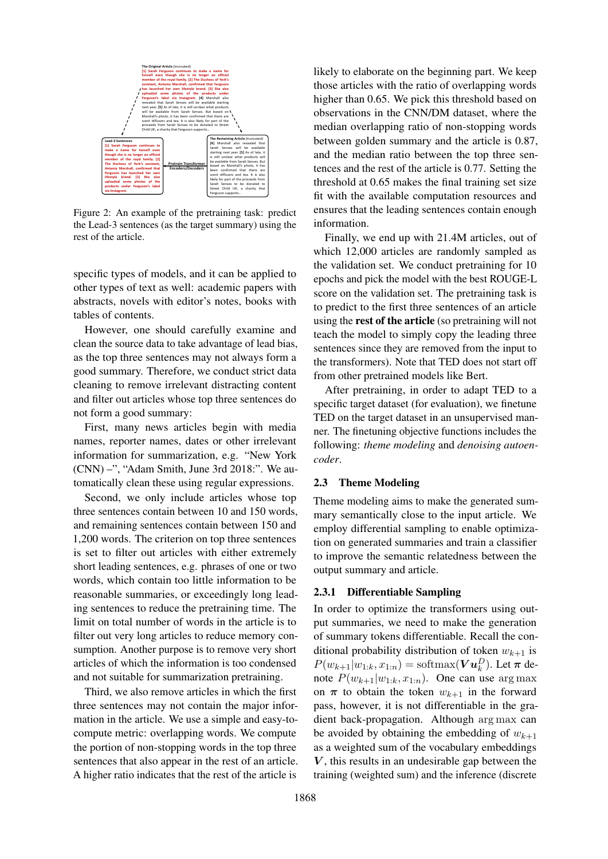

Figure 2: An example of the pretraining task: predict the Lead-3 sentences (as the target summary) using the rest of the article.

specific types of models, and it can be applied to other types of text as well: academic papers with abstracts, novels with editor's notes, books with tables of contents.

However, one should carefully examine and clean the source data to take advantage of lead bias, as the top three sentences may not always form a good summary. Therefore, we conduct strict data cleaning to remove irrelevant distracting content and filter out articles whose top three sentences do not form a good summary:

First, many news articles begin with media names, reporter names, dates or other irrelevant information for summarization, e.g. "New York (CNN) –", "Adam Smith, June 3rd 2018:". We automatically clean these using regular expressions.

Second, we only include articles whose top three sentences contain between 10 and 150 words, and remaining sentences contain between 150 and 1,200 words. The criterion on top three sentences is set to filter out articles with either extremely short leading sentences, e.g. phrases of one or two words, which contain too little information to be reasonable summaries, or exceedingly long leading sentences to reduce the pretraining time. The limit on total number of words in the article is to filter out very long articles to reduce memory consumption. Another purpose is to remove very short articles of which the information is too condensed and not suitable for summarization pretraining.

Third, we also remove articles in which the first three sentences may not contain the major information in the article. We use a simple and easy-tocompute metric: overlapping words. We compute the portion of non-stopping words in the top three sentences that also appear in the rest of an article. A higher ratio indicates that the rest of the article is

likely to elaborate on the beginning part. We keep those articles with the ratio of overlapping words higher than 0.65. We pick this threshold based on observations in the CNN/DM dataset, where the median overlapping ratio of non-stopping words between golden summary and the article is 0.87, and the median ratio between the top three sentences and the rest of the article is 0.77. Setting the threshold at 0.65 makes the final training set size fit with the available computation resources and ensures that the leading sentences contain enough information.

Finally, we end up with 21.4M articles, out of which 12,000 articles are randomly sampled as the validation set. We conduct pretraining for 10 epochs and pick the model with the best ROUGE-L score on the validation set. The pretraining task is to predict to the first three sentences of an article using the rest of the article (so pretraining will not teach the model to simply copy the leading three sentences since they are removed from the input to the transformers). Note that TED does not start off from other pretrained models like Bert.

After pretraining, in order to adapt TED to a specific target dataset (for evaluation), we finetune TED on the target dataset in an unsupervised manner. The finetuning objective functions includes the following: *theme modeling* and *denoising autoencoder*.

#### 2.3 Theme Modeling

Theme modeling aims to make the generated summary semantically close to the input article. We employ differential sampling to enable optimization on generated summaries and train a classifier to improve the semantic relatedness between the output summary and article.

#### <span id="page-3-0"></span>2.3.1 Differentiable Sampling

In order to optimize the transformers using output summaries, we need to make the generation of summary tokens differentiable. Recall the conditional probability distribution of token  $w_{k+1}$  is  $P(w_{k+1}|w_{1:k}, x_{1:n}) = \text{softmax}(V \mathbf{u}_k^D)$ . Let  $\pi$  denote  $P(w_{k+1} | w_{1:k}, x_{1:n})$ . One can use arg max on  $\pi$  to obtain the token  $w_{k+1}$  in the forward pass, however, it is not differentiable in the gradient back-propagation. Although arg max can be avoided by obtaining the embedding of  $w_{k+1}$ as a weighted sum of the vocabulary embeddings *V* , this results in an undesirable gap between the training (weighted sum) and the inference (discrete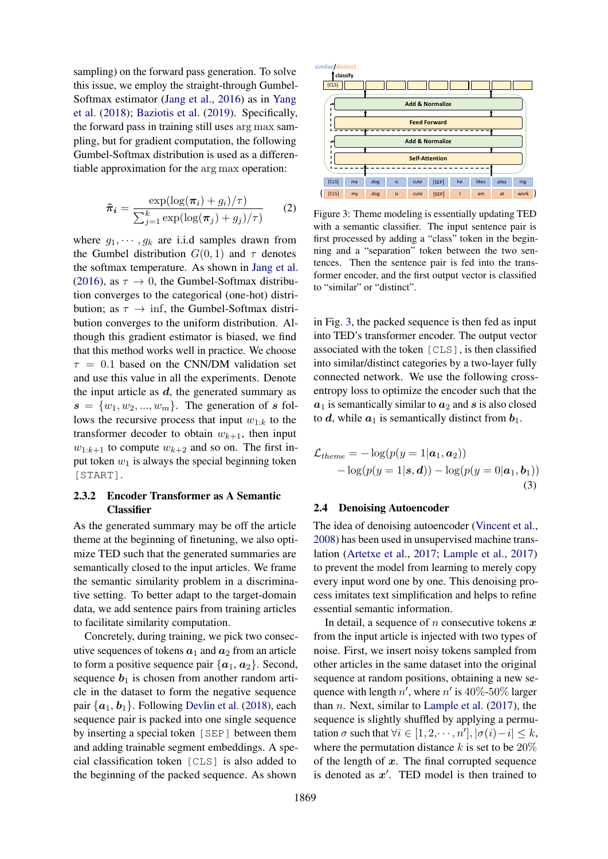sampling) on the forward pass generation. To solve this issue, we employ the straight-through Gumbel-Softmax estimator [\(Jang et al.,](#page-8-16) [2016\)](#page-8-16) as in [Yang](#page-9-6) [et al.](#page-9-6) [\(2018\)](#page-9-6); [Baziotis et al.](#page-8-8) [\(2019\)](#page-8-8). Specifically, the forward pass in training still uses arg max sampling, but for gradient computation, the following Gumbel-Softmax distribution is used as a differentiable approximation for the arg max operation:

$$
\tilde{\boldsymbol{\pi}}_{i} = \frac{\exp(\log(\boldsymbol{\pi}_{i}) + g_{i})/\tau)}{\sum_{j=1}^{k} \exp(\log(\boldsymbol{\pi}_{j}) + g_{j})/\tau)}
$$
(2)

where  $g_1, \dots, g_k$  are i.i.d samples drawn from the Gumbel distribution  $G(0, 1)$  and  $\tau$  denotes the softmax temperature. As shown in [Jang et al.](#page-8-16) [\(2016\)](#page-8-16), as  $\tau \to 0$ , the Gumbel-Softmax distribution converges to the categorical (one-hot) distribution; as  $\tau \rightarrow \inf$ , the Gumbel-Softmax distribution converges to the uniform distribution. Although this gradient estimator is biased, we find that this method works well in practice. We choose  $\tau = 0.1$  based on the CNN/DM validation set and use this value in all the experiments. Denote the input article as *d*, the generated summary as  $s = \{w_1, w_2, ..., w_m\}$ . The generation of *s* follows the recursive process that input *w*1:*<sup>k</sup>* to the transformer decoder to obtain  $w_{k+1}$ , then input  $w_{1:k+1}$  to compute  $w_{k+2}$  and so on. The first input token  $w_1$  is always the special beginning token [START].

# 2.3.2 Encoder Transformer as A Semantic **Classifier**

As the generated summary may be off the article theme at the beginning of finetuning, we also optimize TED such that the generated summaries are semantically closed to the input articles. We frame the semantic similarity problem in a discriminative setting. To better adapt to the target-domain data, we add sentence pairs from training articles to facilitate similarity computation.

Concretely, during training, we pick two consecutive sequences of tokens  $a_1$  and  $a_2$  from an article to form a positive sequence pair  ${a_1, a_2}$ . Second, sequence  $b_1$  is chosen from another random article in the dataset to form the negative sequence pair  $\{a_1, b_1\}$ . Following [Devlin et al.](#page-8-7) [\(2018\)](#page-8-7), each sequence pair is packed into one single sequence by inserting a special token [SEP] between them and adding trainable segment embeddings. A special classification token [CLS] is also added to the beginning of the packed sequence. As shown

<span id="page-4-0"></span>

Figure 3: Theme modeling is essentially updating TED with a semantic classifier. The input sentence pair is first processed by adding a "class" token in the beginning and a "separation" token between the two sentences. Then the sentence pair is fed into the transformer encoder, and the first output vector is classified to "similar" or "distinct".

in Fig. [3,](#page-4-0) the packed sequence is then fed as input into TED's transformer encoder. The output vector associated with the token [CLS], is then classified into similar/distinct categories by a two-layer fully connected network. We use the following crossentropy loss to optimize the encoder such that the  $a_1$  is semantically similar to  $a_2$  and  $s$  is also closed to *d*, while  $a_1$  is semantically distinct from  $b_1$ .

<span id="page-4-1"></span>
$$
\mathcal{L}_{theme} = -\log(p(y=1|\mathbf{a}_1, \mathbf{a}_2))
$$

$$
-\log(p(y=1|\mathbf{s}, \mathbf{d})) - \log(p(y=0|\mathbf{a}_1, \mathbf{b}_1))
$$
(3)

## 2.4 Denoising Autoencoder

The idea of denoising autoencoder [\(Vincent et al.,](#page-9-7) [2008\)](#page-9-7) has been used in unsupervised machine translation [\(Artetxe et al.,](#page-8-21) [2017;](#page-8-21) [Lample et al.,](#page-8-17) [2017\)](#page-8-17) to prevent the model from learning to merely copy every input word one by one. This denoising process imitates text simplification and helps to refine essential semantic information.

In detail, a sequence of *n* consecutive tokens *x* from the input article is injected with two types of noise. First, we insert noisy tokens sampled from other articles in the same dataset into the original sequence at random positions, obtaining a new sequence with length  $n'$ , where  $n'$  is 40%-50% larger than *n*. Next, similar to [Lample et al.](#page-8-17) [\(2017\)](#page-8-17), the sequence is slightly shuffled by applying a permutation  $\sigma$  such that  $\forall i \in [1, 2, \dots, n'], |\sigma(i) - i| \leq k$ , where the permutation distance  $k$  is set to be  $20\%$ of the length of *x*. The final corrupted sequence is denoted as  $x'$ . TED model is then trained to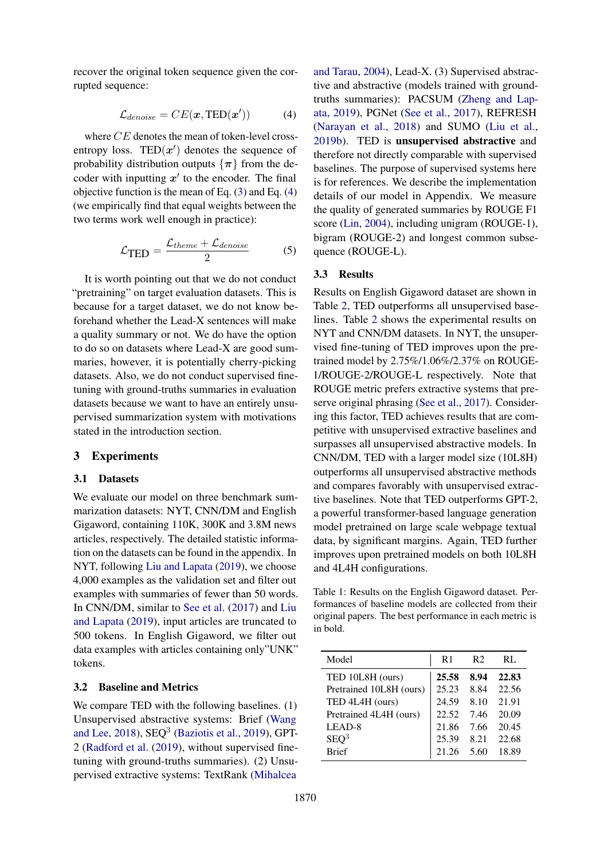<span id="page-5-0"></span>recover the original token sequence given the corrupted sequence:

$$
\mathcal{L}_{denoise} = CE(\boldsymbol{x}, \text{TED}(\boldsymbol{x}')) \tag{4}
$$

where *CE* denotes the mean of token-level crossentropy loss.  $\text{TED}(\mathbf{x}')$  denotes the sequence of probability distribution outputs  $\{\pi\}$  from the decoder with inputting  $x<sup>0</sup>$  to the encoder. The final objective function is the mean of Eq. [\(3\)](#page-4-1) and Eq. [\(4\)](#page-5-0) (we empirically find that equal weights between the two terms work well enough in practice):

$$
\mathcal{L}_{\text{TED}} = \frac{\mathcal{L}_{\text{theme}} + \mathcal{L}_{\text{denoise}}}{2} \tag{5}
$$

It is worth pointing out that we do not conduct "pretraining" on target evaluation datasets. This is because for a target dataset, we do not know beforehand whether the Lead-X sentences will make a quality summary or not. We do have the option to do so on datasets where Lead-X are good summaries, however, it is potentially cherry-picking datasets. Also, we do not conduct supervised finetuning with ground-truths summaries in evaluation datasets because we want to have an entirely unsupervised summarization system with motivations stated in the introduction section.

## 3 Experiments

#### 3.1 Datasets

We evaluate our model on three benchmark summarization datasets: NYT, CNN/DM and English Gigaword, containing 110K, 300K and 3.8M news articles, respectively. The detailed statistic information on the datasets can be found in the appendix. In NYT, following [Liu and Lapata](#page-8-4) [\(2019\)](#page-8-4), we choose 4,000 examples as the validation set and filter out examples with summaries of fewer than 50 words. In CNN/DM, similar to [See et al.](#page-8-0) [\(2017\)](#page-8-0) and [Liu](#page-8-4) [and Lapata](#page-8-4) [\(2019\)](#page-8-4), input articles are truncated to 500 tokens. In English Gigaword, we filter out data examples with articles containing only"UNK" tokens.

## 3.2 Baseline and Metrics

We compare TED with the following baselines. (1) Unsupervised abstractive systems: Brief [\(Wang](#page-9-1) [and Lee,](#page-9-1) [2018\)](#page-9-1),  $SEQ<sup>3</sup>$  [\(Baziotis et al.,](#page-8-8) [2019\)](#page-8-8), GPT-2 [\(Radford et al.](#page-8-22) [\(2019\)](#page-8-22), without supervised finetuning with ground-truths summaries). (2) Unsupervised extractive systems: TextRank [\(Mihalcea](#page-8-5)

[and Tarau,](#page-8-5) [2004\)](#page-8-5), Lead-X. (3) Supervised abstractive and abstractive (models trained with groundtruths summaries): PACSUM [\(Zheng and Lap](#page-9-0)[ata,](#page-9-0) [2019\)](#page-9-0), PGNet [\(See et al.,](#page-8-0) [2017\)](#page-8-0), REFRESH [\(Narayan et al.,](#page-8-1) [2018\)](#page-8-1) and SUMO [\(Liu et al.,](#page-8-23) [2019b\)](#page-8-23). TED is unsupervised abstractive and therefore not directly comparable with supervised baselines. The purpose of supervised systems here is for references. We describe the implementation details of our model in Appendix. We measure the quality of generated summaries by ROUGE F1 score [\(Lin,](#page-8-24) [2004\)](#page-8-24), including unigram (ROUGE-1), bigram (ROUGE-2) and longest common subsequence (ROUGE-L).

#### 3.3 Results

Results on English Gigaword dataset are shown in Table [2,](#page-6-0) TED outperforms all unsupervised baselines. Table [2](#page-6-0) shows the experimental results on NYT and CNN/DM datasets. In NYT, the unsupervised fine-tuning of TED improves upon the pretrained model by 2.75%/1.06%/2.37% on ROUGE-1/ROUGE-2/ROUGE-L respectively. Note that ROUGE metric prefers extractive systems that preserve original phrasing [\(See et al.,](#page-8-0) [2017\)](#page-8-0). Considering this factor, TED achieves results that are competitive with unsupervised extractive baselines and surpasses all unsupervised abstractive models. In CNN/DM, TED with a larger model size (10L8H) outperforms all unsupervised abstractive methods and compares favorably with unsupervised extractive baselines. Note that TED outperforms GPT-2, a powerful transformer-based language generation model pretrained on large scale webpage textual data, by significant margins. Again, TED further improves upon pretrained models on both 10L8H and 4L4H configurations.

Table 1: Results on the English Gigaword dataset. Performances of baseline models are collected from their original papers. The best performance in each metric is in bold.

| Model                   | R1    | R <sub>2</sub> | RL    |
|-------------------------|-------|----------------|-------|
| TED 10L8H (ours)        | 25.58 | 8.94           | 22.83 |
| Pretrained 10L8H (ours) | 25.23 | 8.84           | 22.56 |
| TED 4L4H (ours)         | 24.59 | 8.10           | 21.91 |
| Pretrained 4L4H (ours)  | 22.52 | 7.46           | 20.09 |
| LEAD-8                  | 21.86 | 7.66           | 20.45 |
| SEQ <sup>3</sup>        | 25.39 | 8.21           | 22.68 |
| <b>Brief</b>            | 21.26 | 5.60           | 18.89 |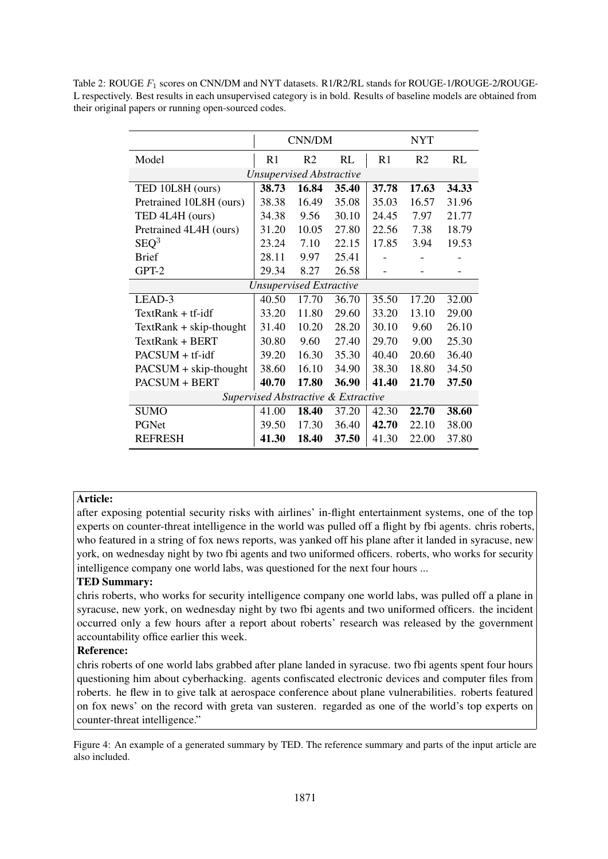<span id="page-6-0"></span>Table 2: ROUGE *F*<sup>1</sup> scores on CNN/DM and NYT datasets. R1/R2/RL stands for ROUGE-1/ROUGE-2/ROUGE-L respectively. Best results in each unsupervised category is in bold. Results of baseline models are obtained from their original papers or running open-sourced codes.

|                                     | CNN/DM         |                | NYT   |                |                |       |  |  |
|-------------------------------------|----------------|----------------|-------|----------------|----------------|-------|--|--|
| Model                               | R <sub>1</sub> | R <sub>2</sub> | RI.   | R <sub>1</sub> | R <sub>2</sub> | RI.   |  |  |
| <b>Unsupervised Abstractive</b>     |                |                |       |                |                |       |  |  |
| TED 10L8H (ours)                    | 38.73          | 16.84          | 35.40 | 37.78          | 17.63          | 34.33 |  |  |
| Pretrained 10L8H (ours)             | 38.38          | 16.49          | 35.08 | 35.03          | 16.57          | 31.96 |  |  |
| TED 4L4H (ours)                     | 34.38          | 9.56           | 30.10 | 24.45          | 7.97           | 21.77 |  |  |
| Pretrained 4L4H (ours)              | 31.20          | 10.05          | 27.80 | 22.56          | 7.38           | 18.79 |  |  |
| SEQ <sup>3</sup>                    | 23.24          | 7.10           | 22.15 | 17.85          | 3.94           | 19.53 |  |  |
| <b>Brief</b>                        | 28.11          | 9.97           | 25.41 |                |                |       |  |  |
| GPT-2                               | 29.34          | 8.27           | 26.58 |                |                |       |  |  |
| <b>Unsupervised Extractive</b>      |                |                |       |                |                |       |  |  |
| LEAD-3                              | 40.50          | 17.70          | 36.70 | 35.50          | 17.20          | 32.00 |  |  |
| $TextRank + tf-idf$                 | 33.20          | 11.80          | 29.60 | 33.20          | 13.10          | 29.00 |  |  |
| $TextRank + skip-thought$           | 31.40          | 10.20          | 28.20 | 30.10          | 9.60           | 26.10 |  |  |
| TextRank + BERT                     | 30.80          | 9.60           | 27.40 | 29.70          | 9.00           | 25.30 |  |  |
| $PACSUM + tf-idf$                   | 39.20          | 16.30          | 35.30 | 40.40          | 20.60          | 36.40 |  |  |
| $PACSUM + skip-thought$             | 38.60          | 16.10          | 34.90 | 38.30          | 18.80          | 34.50 |  |  |
| <b>PACSUM + BERT</b>                | 40.70          | 17.80          | 36.90 | 41.40          | 21.70          | 37.50 |  |  |
| Supervised Abstractive & Extractive |                |                |       |                |                |       |  |  |
| <b>SUMO</b>                         | 41.00          | 18.40          | 37.20 | 42.30          | 22.70          | 38.60 |  |  |
| PGNet                               | 39.50          | 17.30          | 36.40 | 42.70          | 22.10          | 38.00 |  |  |
| <b>REFRESH</b>                      | 41.30          | 18.40          | 37.50 | 41.30          | 22.00          | 37.80 |  |  |

# <span id="page-6-1"></span>Article:

after exposing potential security risks with airlines' in-flight entertainment systems, one of the top experts on counter-threat intelligence in the world was pulled off a flight by fbi agents. chris roberts, who featured in a string of fox news reports, was yanked off his plane after it landed in syracuse, new york, on wednesday night by two fbi agents and two uniformed officers. roberts, who works for security intelligence company one world labs, was questioned for the next four hours ...

# TED Summary:

chris roberts, who works for security intelligence company one world labs, was pulled off a plane in syracuse, new york, on wednesday night by two fbi agents and two uniformed officers. the incident occurred only a few hours after a report about roberts' research was released by the government accountability office earlier this week.

## Reference:

chris roberts of one world labs grabbed after plane landed in syracuse. two fbi agents spent four hours questioning him about cyberhacking. agents confiscated electronic devices and computer files from roberts. he flew in to give talk at aerospace conference about plane vulnerabilities. roberts featured on fox news' on the record with greta van susteren. regarded as one of the world's top experts on counter-threat intelligence."

Figure 4: An example of a generated summary by TED. The reference summary and parts of the input article are also included.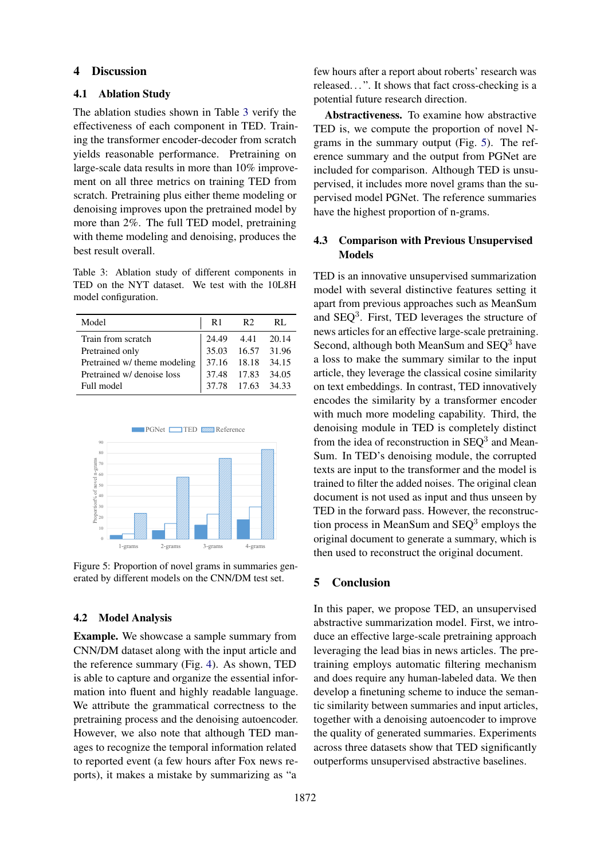#### 4 Discussion

## 4.1 Ablation Study

The ablation studies shown in Table [3](#page-7-0) verify the effectiveness of each component in TED. Training the transformer encoder-decoder from scratch yields reasonable performance. Pretraining on large-scale data results in more than 10% improvement on all three metrics on training TED from scratch. Pretraining plus either theme modeling or denoising improves upon the pretrained model by more than 2%. The full TED model, pretraining with theme modeling and denoising, produces the best result overall.

<span id="page-7-0"></span>Table 3: Ablation study of different components in TED on the NYT dataset. We test with the 10L8H model configuration.

| Model                        | R1 | R2                                     | - RL |
|------------------------------|----|----------------------------------------|------|
| Train from scratch           |    |                                        |      |
| Pretrained only              |    | 24.49 4.41 20.14<br>35.03 16.57 31.96  |      |
| Pretrained w/ theme modeling |    | 37.16 18.18 34.15                      |      |
| Pretrained w/ denoise loss   |    | 37.48 17.83 34.05<br>37.78 17.63 34.33 |      |
| Full model                   |    |                                        |      |

<span id="page-7-1"></span>

Figure 5: Proportion of novel grams in summaries generated by different models on the CNN/DM test set.

## 4.2 Model Analysis

Example. We showcase a sample summary from CNN/DM dataset along with the input article and the reference summary (Fig. [4\)](#page-6-1). As shown, TED is able to capture and organize the essential information into fluent and highly readable language. We attribute the grammatical correctness to the pretraining process and the denoising autoencoder. However, we also note that although TED manages to recognize the temporal information related to reported event (a few hours after Fox news reports), it makes a mistake by summarizing as "a

few hours after a report about roberts' research was released. . . ". It shows that fact cross-checking is a potential future research direction.

Abstractiveness. To examine how abstractive TED is, we compute the proportion of novel Ngrams in the summary output (Fig. [5\)](#page-7-1). The reference summary and the output from PGNet are included for comparison. Although TED is unsupervised, it includes more novel grams than the supervised model PGNet. The reference summaries have the highest proportion of n-grams.

## 4.3 Comparison with Previous Unsupervised Models

TED is an innovative unsupervised summarization model with several distinctive features setting it apart from previous approaches such as MeanSum and  $SEQ<sup>3</sup>$ . First, TED leverages the structure of news articles for an effective large-scale pretraining. Second, although both MeanSum and SEQ<sup>3</sup> have a loss to make the summary similar to the input article, they leverage the classical cosine similarity on text embeddings. In contrast, TED innovatively encodes the similarity by a transformer encoder with much more modeling capability. Third, the denoising module in TED is completely distinct from the idea of reconstruction in SEQ<sup>3</sup> and Mean-Sum. In TED's denoising module, the corrupted texts are input to the transformer and the model is trained to filter the added noises. The original clean document is not used as input and thus unseen by TED in the forward pass. However, the reconstruction process in MeanSum and  $SEQ<sup>3</sup>$  employs the original document to generate a summary, which is then used to reconstruct the original document.

#### 5 Conclusion

In this paper, we propose TED, an unsupervised abstractive summarization model. First, we introduce an effective large-scale pretraining approach leveraging the lead bias in news articles. The pretraining employs automatic filtering mechanism and does require any human-labeled data. We then develop a finetuning scheme to induce the semantic similarity between summaries and input articles, together with a denoising autoencoder to improve the quality of generated summaries. Experiments across three datasets show that TED significantly outperforms unsupervised abstractive baselines.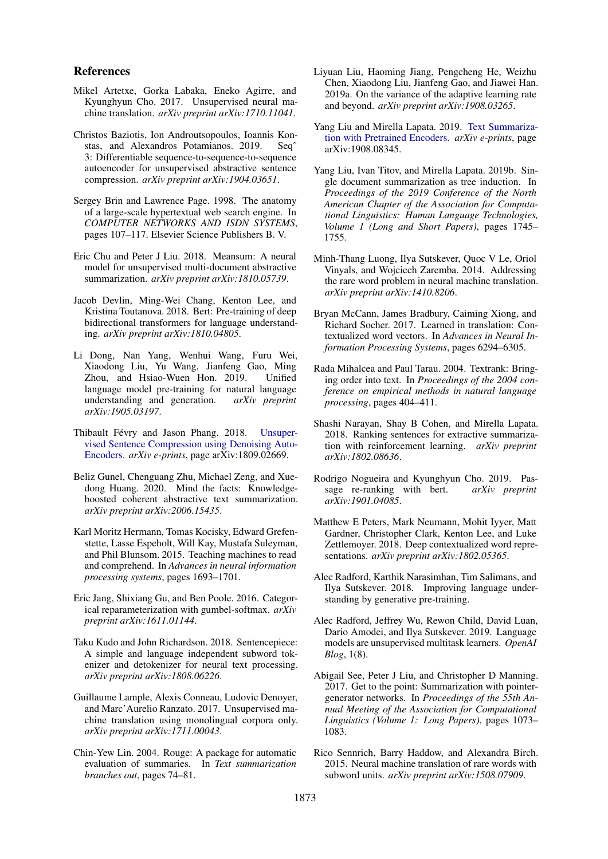#### References

- <span id="page-8-21"></span>Mikel Artetxe, Gorka Labaka, Eneko Agirre, and Kyunghyun Cho. 2017. Unsupervised neural machine translation. *arXiv preprint arXiv:1710.11041*.
- <span id="page-8-8"></span>Christos Baziotis, Ion Androutsopoulos, Ioannis Konstas, and Alexandros Potamianos. 2019. Seqˆ 3: Differentiable sequence-to-sequence-to-sequence autoencoder for unsupervised abstractive sentence compression. *arXiv preprint arXiv:1904.03651*.
- <span id="page-8-6"></span>Sergey Brin and Lawrence Page. 1998. The anatomy of a large-scale hypertextual web search engine. In *COMPUTER NETWORKS AND ISDN SYSTEMS*, pages 107–117. Elsevier Science Publishers B. V.
- <span id="page-8-9"></span>Eric Chu and Peter J Liu. 2018. Meansum: A neural model for unsupervised multi-document abstractive summarization. *arXiv preprint arXiv:1810.05739*.
- <span id="page-8-7"></span>Jacob Devlin, Ming-Wei Chang, Kenton Lee, and Kristina Toutanova. 2018. Bert: Pre-training of deep bidirectional transformers for language understanding. *arXiv preprint arXiv:1810.04805*.
- <span id="page-8-14"></span>Li Dong, Nan Yang, Wenhui Wang, Furu Wei, Xiaodong Liu, Yu Wang, Jianfeng Gao, Ming Zhou, and Hsiao-Wuen Hon. 2019. Unified language model pre-training for natural language understanding and generation. *arXiv preprint arXiv:1905.03197*.
- <span id="page-8-10"></span>Thibault Févry and Jason Phang. 2018. [Unsuper](http://arxiv.org/abs/1809.02669)[vised Sentence Compression using Denoising Auto-](http://arxiv.org/abs/1809.02669)[Encoders.](http://arxiv.org/abs/1809.02669) *arXiv e-prints*, page arXiv:1809.02669.
- <span id="page-8-2"></span>Beliz Gunel, Chenguang Zhu, Michael Zeng, and Xuedong Huang. 2020. Mind the facts: Knowledgeboosted coherent abstractive text summarization. *arXiv preprint arXiv:2006.15435*.
- <span id="page-8-3"></span>Karl Moritz Hermann, Tomas Kocisky, Edward Grefenstette, Lasse Espeholt, Will Kay, Mustafa Suleyman, and Phil Blunsom. 2015. Teaching machines to read and comprehend. In *Advances in neural information processing systems*, pages 1693–1701.
- <span id="page-8-16"></span>Eric Jang, Shixiang Gu, and Ben Poole. 2016. Categorical reparameterization with gumbel-softmax. *arXiv preprint arXiv:1611.01144*.
- <span id="page-8-18"></span>Taku Kudo and John Richardson. 2018. Sentencepiece: A simple and language independent subword tokenizer and detokenizer for neural text processing. *arXiv preprint arXiv:1808.06226*.
- <span id="page-8-17"></span>Guillaume Lample, Alexis Conneau, Ludovic Denoyer, and Marc'Aurelio Ranzato. 2017. Unsupervised machine translation using monolingual corpora only. *arXiv preprint arXiv:1711.00043*.
- <span id="page-8-24"></span>Chin-Yew Lin. 2004. Rouge: A package for automatic evaluation of summaries. In *Text summarization branches out*, pages 74–81.
- Liyuan Liu, Haoming Jiang, Pengcheng He, Weizhu Chen, Xiaodong Liu, Jianfeng Gao, and Jiawei Han. 2019a. On the variance of the adaptive learning rate and beyond. *arXiv preprint arXiv:1908.03265*.
- <span id="page-8-4"></span>Yang Liu and Mirella Lapata. 2019. [Text Summariza](http://arxiv.org/abs/1908.08345)[tion with Pretrained Encoders.](http://arxiv.org/abs/1908.08345) *arXiv e-prints*, page arXiv:1908.08345.
- <span id="page-8-23"></span>Yang Liu, Ivan Titov, and Mirella Lapata. 2019b. Single document summarization as tree induction. In *Proceedings of the 2019 Conference of the North American Chapter of the Association for Computational Linguistics: Human Language Technologies, Volume 1 (Long and Short Papers)*, pages 1745– 1755.
- <span id="page-8-19"></span>Minh-Thang Luong, Ilya Sutskever, Quoc V Le, Oriol Vinyals, and Wojciech Zaremba. 2014. Addressing the rare word problem in neural machine translation. *arXiv preprint arXiv:1410.8206*.
- <span id="page-8-11"></span>Bryan McCann, James Bradbury, Caiming Xiong, and Richard Socher. 2017. Learned in translation: Contextualized word vectors. In *Advances in Neural Information Processing Systems*, pages 6294–6305.
- <span id="page-8-5"></span>Rada Mihalcea and Paul Tarau. 2004. Textrank: Bringing order into text. In *Proceedings of the 2004 conference on empirical methods in natural language processing*, pages 404–411.
- <span id="page-8-1"></span>Shashi Narayan, Shay B Cohen, and Mirella Lapata. 2018. Ranking sentences for extractive summarization with reinforcement learning. *arXiv preprint arXiv:1802.08636*.
- <span id="page-8-15"></span>Rodrigo Nogueira and Kyunghyun Cho. 2019. Passage re-ranking with bert. *arXiv preprint arXiv:1901.04085*.
- <span id="page-8-12"></span>Matthew E Peters, Mark Neumann, Mohit Iyyer, Matt Gardner, Christopher Clark, Kenton Lee, and Luke Zettlemoyer. 2018. Deep contextualized word representations. *arXiv preprint arXiv:1802.05365*.
- <span id="page-8-13"></span>Alec Radford, Karthik Narasimhan, Tim Salimans, and Ilya Sutskever. 2018. Improving language understanding by generative pre-training.
- <span id="page-8-22"></span>Alec Radford, Jeffrey Wu, Rewon Child, David Luan, Dario Amodei, and Ilya Sutskever. 2019. Language models are unsupervised multitask learners. *OpenAI Blog*, 1(8).
- <span id="page-8-0"></span>Abigail See, Peter J Liu, and Christopher D Manning. 2017. Get to the point: Summarization with pointergenerator networks. In *Proceedings of the 55th Annual Meeting of the Association for Computational Linguistics (Volume 1: Long Papers)*, pages 1073– 1083.
- <span id="page-8-20"></span>Rico Sennrich, Barry Haddow, and Alexandra Birch. 2015. Neural machine translation of rare words with subword units. *arXiv preprint arXiv:1508.07909*.